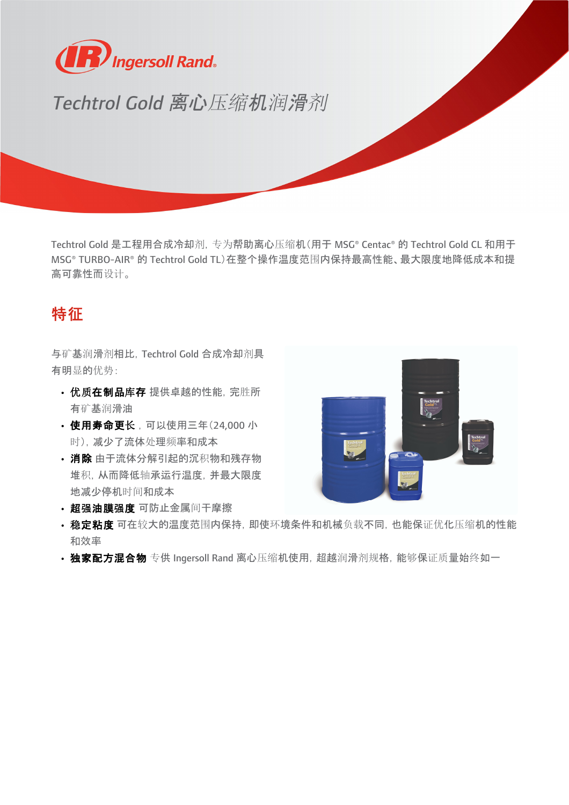

## Techtrol Gold 离心压缩机润滑剂

Techtrol Gold 是工程用合成冷却剂,专为帮助离心压缩机(用于 MSG® Centac® 的 Techtrol Gold CL 和用于 MSG® TURBO-AIR® 的 Techtrol Gold TL)在整个操作温度范围内保持最高性能、最大限度地降低成本和提 高可靠性而设计。

## 特征

与矿基润滑剂相比,Techtrol Gold 合成冷却剂具 有明显的优势:

- 优质在制品库存 提供卓越的性能, 完胜所 有矿基润滑油
- 使用寿命更长,可以使用三年(24,000 小 时),减少了流体处理频率和成本
- 消除 由于流体分解引起的沉积物和残存物 堆积,从而降低轴承运行温度,并最大限度 地减少停机时间和成本
- 超强油膜强度 可防止金属间干摩擦



- 稳定粘度 可在较大的温度范围内保持, 即使环境条件和机械负载不同, 也能保证优化压缩机的性能 和效率
- 独家配方混合物 专供 Ingersoll Rand 离心压缩机使用, 超越润滑剂规格, 能够保证质量始终如一